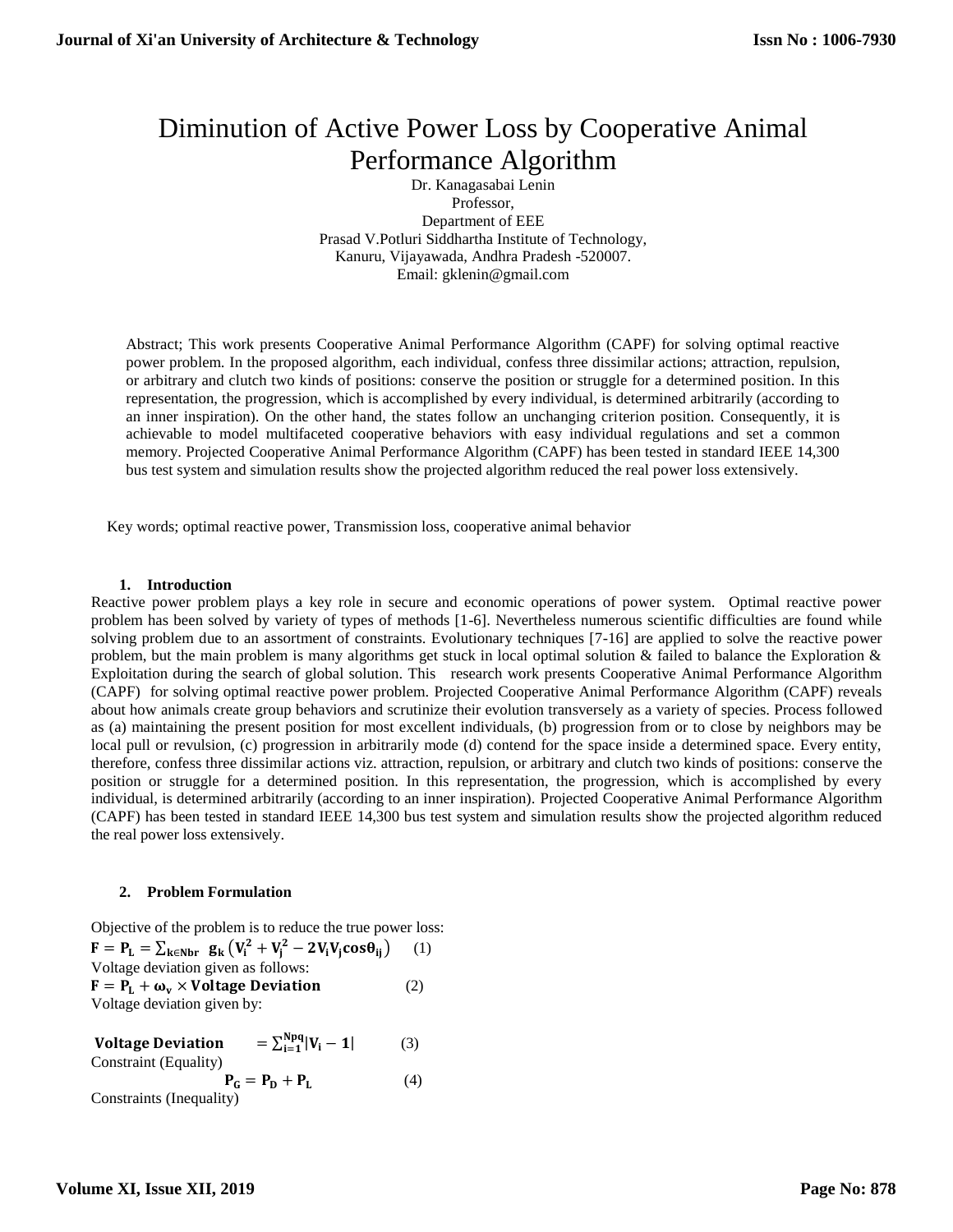# Diminution of Active Power Loss by Cooperative Animal Performance Algorithm

Dr. Kanagasabai Lenin Professor, Department of EEE Prasad V.Potluri Siddhartha Institute of Technology, Kanuru, Vijayawada, Andhra Pradesh -520007. Email: [gklenin@gmail.com](mailto:gklenin@gmail.com)

Abstract; This work presents Cooperative Animal Performance Algorithm (CAPF) for solving optimal reactive power problem. In the proposed algorithm, each individual, confess three dissimilar actions; attraction, repulsion, or arbitrary and clutch two kinds of positions: conserve the position or struggle for a determined position. In this representation, the progression, which is accomplished by every individual, is determined arbitrarily (according to an inner inspiration). On the other hand, the states follow an unchanging criterion position. Consequently, it is achievable to model multifaceted cooperative behaviors with easy individual regulations and set a common memory. Projected Cooperative Animal Performance Algorithm (CAPF) has been tested in standard IEEE 14,300 bus test system and simulation results show the projected algorithm reduced the real power loss extensively.

Key words; optimal reactive power, Transmission loss, cooperative animal behavior

## **1. Introduction**

Reactive power problem plays a key role in secure and economic operations of power system. Optimal reactive power problem has been solved by variety of types of methods [1-6]. Nevertheless numerous scientific difficulties are found while solving problem due to an assortment of constraints. Evolutionary techniques [7-16] are applied to solve the reactive power problem, but the main problem is many algorithms get stuck in local optimal solution  $\&$  failed to balance the Exploration  $\&$ Exploitation during the search of global solution. This research work presents Cooperative Animal Performance Algorithm (CAPF) for solving optimal reactive power problem. Projected Cooperative Animal Performance Algorithm (CAPF) reveals about how animals create group behaviors and scrutinize their evolution transversely as a variety of species. Process followed as (a) maintaining the present position for most excellent individuals, (b) progression from or to close by neighbors may be local pull or revulsion, (c) progression in arbitrarily mode (d) contend for the space inside a determined space. Every entity, therefore, confess three dissimilar actions viz. attraction, repulsion, or arbitrary and clutch two kinds of positions: conserve the position or struggle for a determined position. In this representation, the progression, which is accomplished by every individual, is determined arbitrarily (according to an inner inspiration). Projected Cooperative Animal Performance Algorithm (CAPF) has been tested in standard IEEE 14,300 bus test system and simulation results show the projected algorithm reduced the real power loss extensively.

## **2. Problem Formulation**

Objective of the problem is to reduce the true power loss:  $F = P_{L} = \sum_{k \in Nbr} g_{k} (V_{i}^{2} + V_{j}^{2} - 2V_{i}V_{j}cos\theta_{ij})$  (1) Voltage deviation given as follows:  $F = P_L + \omega_v \times$  Voltage Deviation (2) Voltage deviation given by:

Voltage Deviation Npq i=1 (3) Constraint (Equality)  $P_G = P_D + P_L$  (4) Constraints (Inequality)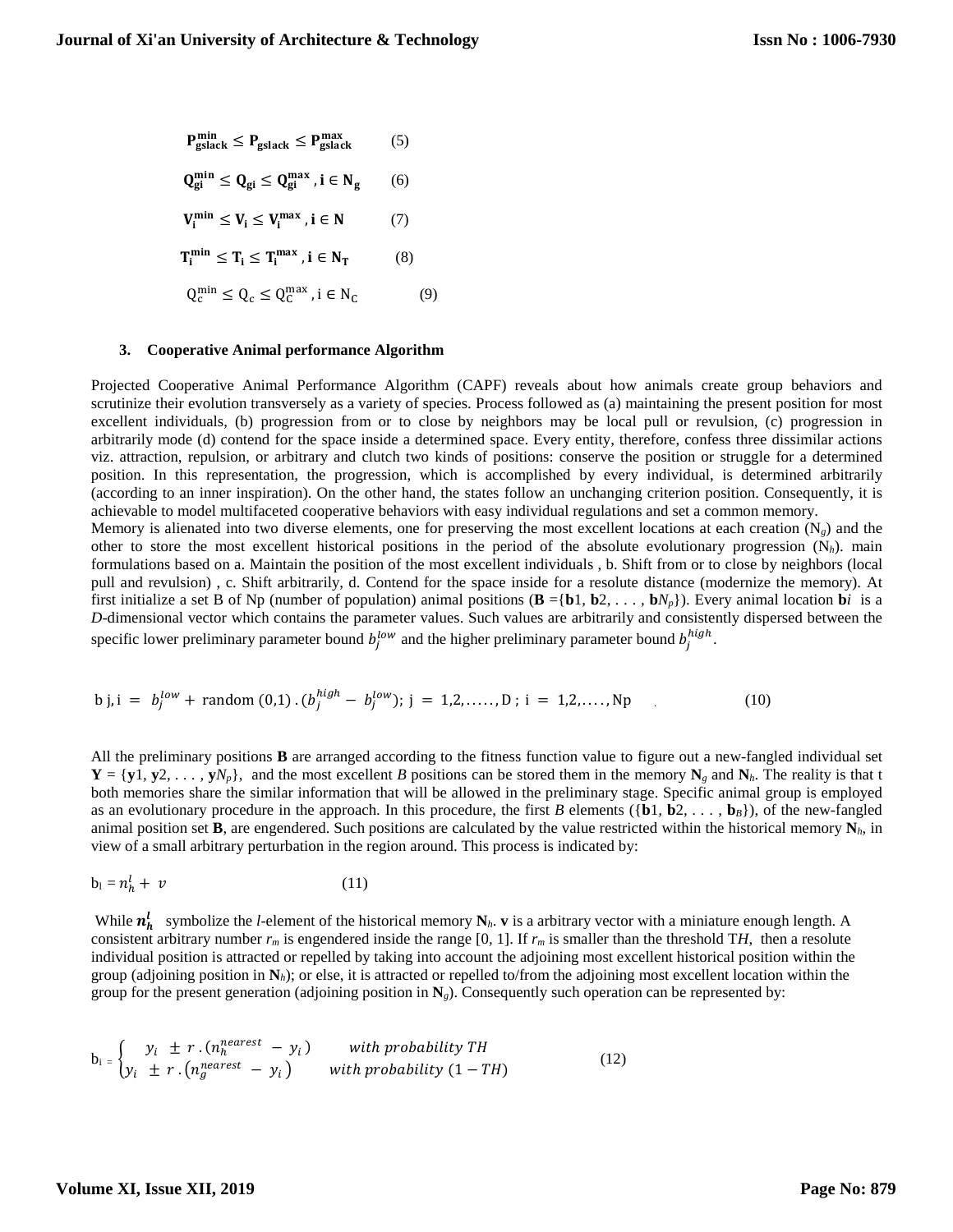$$
P_{gslack}^{\min} \le P_{gslack} \le P_{gslack}^{\max}
$$
\n
$$
Q_{gi}^{\min} \le Q_{gi} \le Q_{gi}^{\max}, i \in N_g \qquad (6)
$$
\n
$$
V_i^{\min} \le V_i \le V_i^{\max}, i \in N \qquad (7)
$$
\n
$$
T_i^{\min} \le T_i \le T_i^{\max}, i \in N_T \qquad (8)
$$
\n
$$
Q_c^{\min} \le Q_c \le Q_c^{\max}, i \in N_C \qquad (9)
$$

### **3. Cooperative Animal performance Algorithm**

Projected Cooperative Animal Performance Algorithm (CAPF) reveals about how animals create group behaviors and scrutinize their evolution transversely as a variety of species. Process followed as (a) maintaining the present position for most excellent individuals, (b) progression from or to close by neighbors may be local pull or revulsion, (c) progression in arbitrarily mode (d) contend for the space inside a determined space. Every entity, therefore, confess three dissimilar actions viz. attraction, repulsion, or arbitrary and clutch two kinds of positions: conserve the position or struggle for a determined position. In this representation, the progression, which is accomplished by every individual, is determined arbitrarily (according to an inner inspiration). On the other hand, the states follow an unchanging criterion position. Consequently, it is achievable to model multifaceted cooperative behaviors with easy individual regulations and set a common memory. Memory is alienated into two diverse elements, one for preserving the most excellent locations at each creation (N*g*) and the other to store the most excellent historical positions in the period of the absolute evolutionary progression  $(N_h)$ . main formulations based on a. Maintain the position of the most excellent individuals , b. Shift from or to close by neighbors (local

pull and revulsion) , c. Shift arbitrarily, d. Contend for the space inside for a resolute distance (modernize the memory). At first initialize a set B of Np (number of population) animal positions  $(\mathbf{B} = {\mathbf{b}}1, \mathbf{b}2, \dots, \mathbf{b}N_p)$ . Every animal location **b***i* is a *D*-dimensional vector which contains the parameter values. Such values are arbitrarily and consistently dispersed between the specific lower preliminary parameter bound  $b_j^{low}$  and the higher preliminary parameter bound  $b_j^{high}$ .

b j, i = 
$$
b_j^{low}
$$
 + random (0,1) .  $(b_j^{high} - b_j^{low})$ ; j = 1,2,......, D; i = 1,2,......, Np (10)

All the preliminary positions **B** are arranged according to the fitness function value to figure out a new-fangled individual set  $Y = \{y_1, y_2, \ldots, y_N\}$ , and the most excellent *B* positions can be stored them in the memory  $N_g$  and  $N_h$ . The reality is that t both memories share the similar information that will be allowed in the preliminary stage. Specific animal group is employed as an evolutionary procedure in the approach. In this procedure, the first *B* elements ( $\{b1, b2, \ldots, b_B\}$ ), of the new-fangled animal position set **B**, are engendered. Such positions are calculated by the value restricted within the historical memory  $N_h$ , in view of a small arbitrary perturbation in the region around. This process is indicated by:

$$
b_1 = n_h^l + v \tag{11}
$$

While  $n_h^l$  symbolize the *l*-element of the historical memory  $N_h$ . **v** is a arbitrary vector with a miniature enough length. A consistent arbitrary number  $r_m$  is engendered inside the range [0, 1]. If  $r_m$  is smaller than the threshold TH, then a resolute individual position is attracted or repelled by taking into account the adjoining most excellent historical position within the group (adjoining position in  $N_h$ ); or else, it is attracted or repelled to/from the adjoining most excellent location within the group for the present generation (adjoining position in **N***g*). Consequently such operation can be represented by:

$$
b_i =\n \begin{cases}\n y_i & \pm r \cdot (n_h^{nearest} - y_i) & \text{with probability TH} \\
y_i & \pm r \cdot (n_g^{nearest} - y_i) & \text{with probability } (1 - TH)\n \end{cases}\n \tag{12}
$$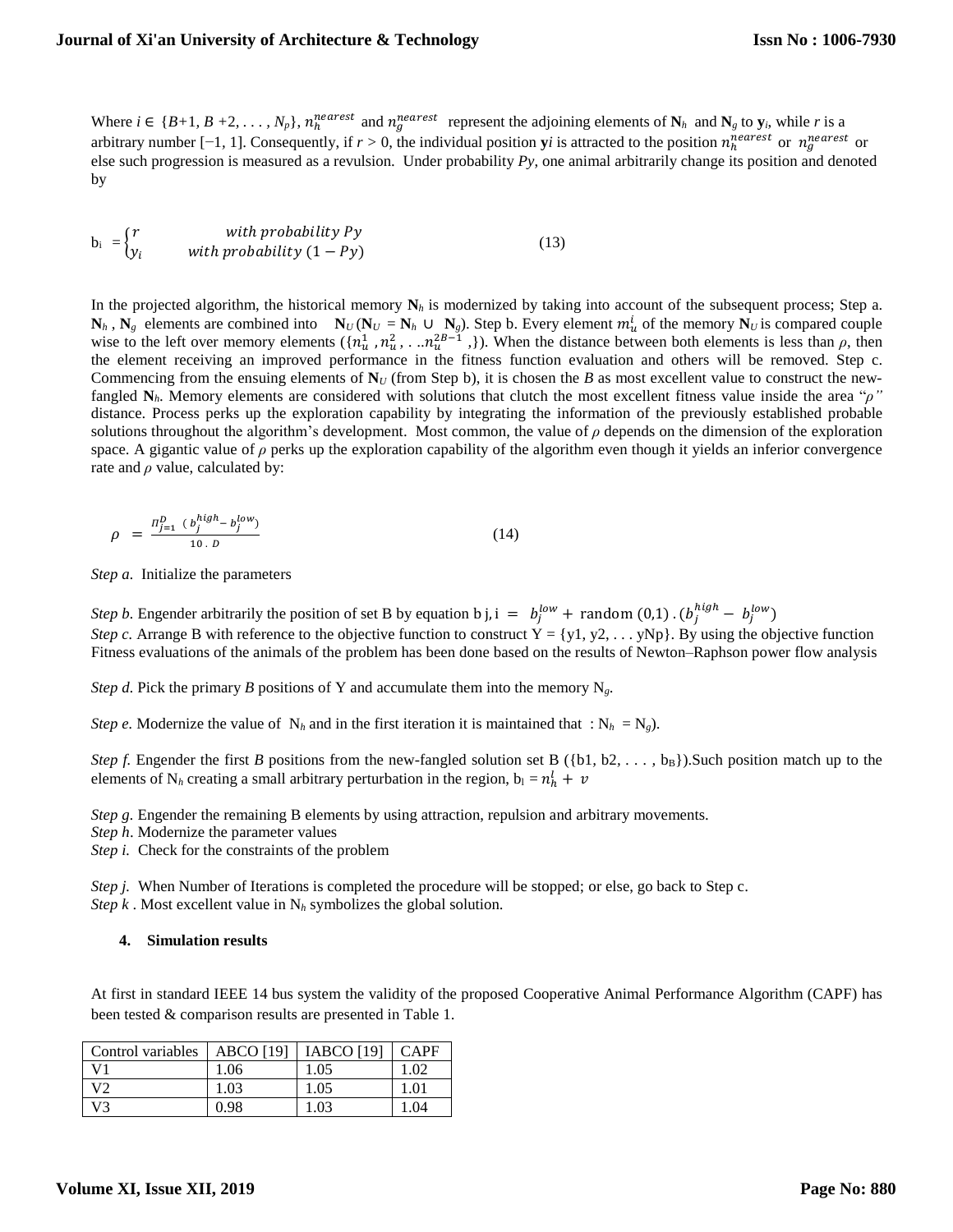Where  $i \in \{B+1, B+2, \ldots, N_p\}$ ,  $n_h^{nearest}$  and  $n_g^{nearest}$  represent the adjoining elements of  $N_h$  and  $N_g$  to  $y_i$ , while *r* is a arbitrary number  $[-1, 1]$ . Consequently, if  $r > 0$ , the individual position **y***i* is attracted to the position  $n_h^{nearest}$  or  $n_g^{nearest}$  or else such progression is measured as a revulsion. Under probability *Py*, one animal arbitrarily change its position and denoted by

$$
b_i = \begin{cases} r & \text{with probability } Py \\ y_i & \text{with probability } (1 - Py) \end{cases}
$$
 (13)

In the projected algorithm, the historical memory  $N_h$  is modernized by taking into account of the subsequent process; Step a.  $N_h$ ,  $N_g$  elements are combined into  $N_U (N_U = N_h \cup N_g)$ . Step b. Every element  $m_u^i$  of the memory  $N_U$  is compared couple wise to the left over memory elements  $(\{n_u^1, n_u^2, \ldots n_u^{2B-1}\}\)$ . When the distance between both elements is less than  $\rho$ , then the element receiving an improved performance in the fitness function evaluation and others will be removed. Step c. Commencing from the ensuing elements of  $N_U$  (from Step b), it is chosen the *B* as most excellent value to construct the newfangled **N***h*. Memory elements are considered with solutions that clutch the most excellent fitness value inside the area "*ρ"* distance. Process perks up the exploration capability by integrating the information of the previously established probable solutions throughout the algorithm's development. Most common, the value of  $\rho$  depends on the dimension of the exploration space. A gigantic value of *ρ* perks up the exploration capability of the algorithm even though it yields an inferior convergence rate and *ρ* value, calculated by:

$$
\rho = \frac{\prod_{j=1}^{D} (b_j^{high} - b_j^{low})}{10 \cdot D} \tag{14}
$$

*Step a.* Initialize the parameters

*Step b.* Engender arbitrarily the position of set B by equation b j, i =  $b_j^{low}$  + random (0,1).  $(b_j^{high} - b_j^{low})$ *Step c.* Arrange B with reference to the objective function to construct  $Y = \{y1, y2, \dots yNp\}$ . By using the objective function Fitness evaluations of the animals of the problem has been done based on the results of Newton–Raphson power flow analysis

*Step d.* Pick the primary *B* positions of Y and accumulate them into the memory  $N_g$ .

*Step e.* Modernize the value of  $N_h$  and in the first iteration it is maintained that :  $N_h = N_g$ ).

*Step f.* Engender the first *B* positions from the new-fangled solution set B ({b1, b2, . . . , b<sub>B</sub>}).Such position match up to the elements of N<sub>h</sub> creating a small arbitrary perturbation in the region,  $b_l = n_h^l + v$ 

*Step g.* Engender the remaining B elements by using attraction, repulsion and arbitrary movements.

*Step h*. Modernize the parameter values

*Step i.* Check for the constraints of the problem

*Step j.* When Number of Iterations is completed the procedure will be stopped; or else, go back to Step c. *Step k* . Most excellent value in  $N_h$  symbolizes the global solution.

#### **4. Simulation results**

At first in standard IEEE 14 bus system the validity of the proposed Cooperative Animal Performance Algorithm (CAPF) has been tested & comparison results are presented in Table 1.

| Control variables | <b>ABCO</b> [19] | $IABCO$ [19] | CAPF |
|-------------------|------------------|--------------|------|
|                   | 1.06             | 1.05         | 1.02 |
| V                 | 1.03             | 1.05         |      |
| V٩                | በ ዓጻ             | 1.03         |      |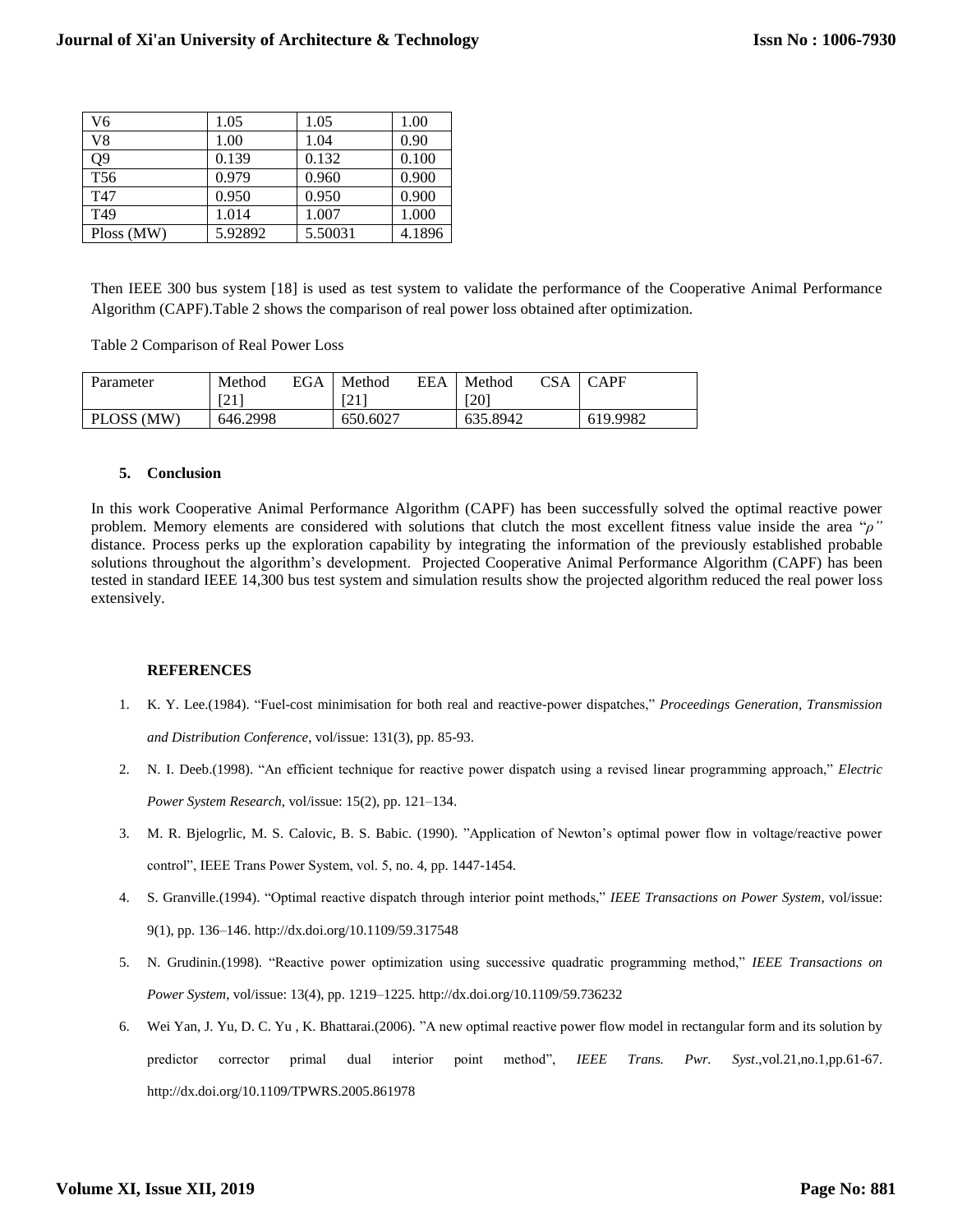| V <sub>6</sub>  | 1.05    | 1.05    | 1.00   |
|-----------------|---------|---------|--------|
| V8              | 1.00    | 1.04    | 0.90   |
| Q9              | 0.139   | 0.132   | 0.100  |
| T <sub>56</sub> | 0.979   | 0.960   | 0.900  |
| T <sub>47</sub> | 0.950   | 0.950   | 0.900  |
| T49             | 1.014   | 1.007   | 1.000  |
| Ploss (MW)      | 5.92892 | 5.50031 | 4.1896 |

Then IEEE 300 bus system [18] is used as test system to validate the performance of the Cooperative Animal Performance Algorithm (CAPF).Table 2 shows the comparison of real power loss obtained after optimization.

Table 2 Comparison of Real Power Loss

| Parameter  | Method   | EGA | Method   | EEA | Method   | <b>CSA</b> | CAPF     |
|------------|----------|-----|----------|-----|----------|------------|----------|
|            | [21]     |     | [21]     |     | [20]     |            |          |
| PLOSS (MW) | 646.2998 |     | 650.6027 |     | 635.8942 |            | 619.9982 |

### **5. Conclusion**

In this work Cooperative Animal Performance Algorithm (CAPF) has been successfully solved the optimal reactive power problem. Memory elements are considered with solutions that clutch the most excellent fitness value inside the area "*ρ"* distance. Process perks up the exploration capability by integrating the information of the previously established probable solutions throughout the algorithm's development. Projected Cooperative Animal Performance Algorithm (CAPF) has been tested in standard IEEE 14,300 bus test system and simulation results show the projected algorithm reduced the real power loss extensively.

## **REFERENCES**

- 1. K. Y. Lee.(1984). "Fuel-cost minimisation for both real and reactive-power dispatches," *Proceedings Generation, Transmission and Distribution Conference*, vol/issue: 131(3), pp. 85-93.
- 2. N. I. Deeb.(1998). "An efficient technique for reactive power dispatch using a revised linear programming approach," *Electric Power System Research*, vol/issue: 15(2), pp. 121–134.
- 3. M. R. Bjelogrlic, M. S. Calovic, B. S. Babic. (1990). "Application of Newton's optimal power flow in voltage/reactive power control", IEEE Trans Power System, vol. 5, no. 4, pp. 1447-1454.
- 4. S. Granville.(1994). "Optimal reactive dispatch through interior point methods," *IEEE Transactions on Power System*, vol/issue: 9(1), pp. 136–146. http://dx.doi.org/10.1109/59.317548
- 5. N. Grudinin.(1998). "Reactive power optimization using successive quadratic programming method," *IEEE Transactions on Power System*, vol/issue: 13(4), pp. 1219–1225. http://dx.doi.org/10.1109/59.736232
- 6. Wei Yan, J. Yu, D. C. Yu , K. Bhattarai.(2006). "A new optimal reactive power flow model in rectangular form and its solution by predictor corrector primal dual interior point method", *IEEE Trans. Pwr. Syst*.,vol.21,no.1,pp.61-67. http://dx.doi.org/10.1109/TPWRS.2005.861978